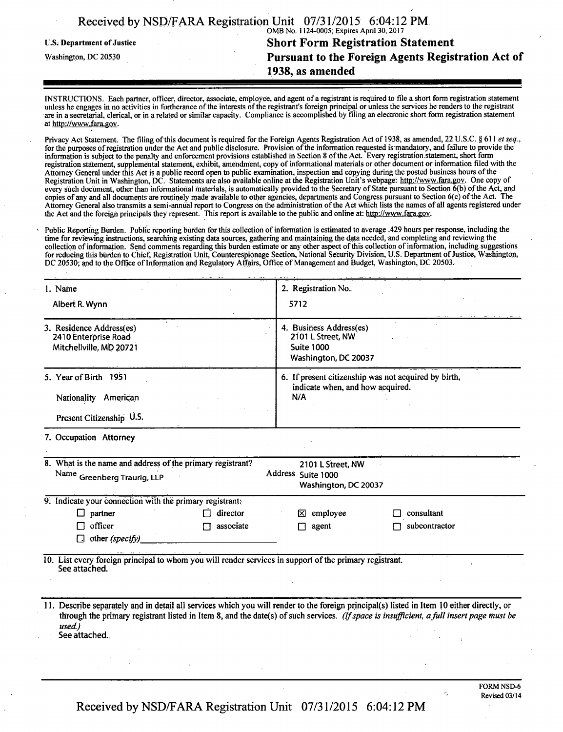|                            | Received by NSD/FARA Registration Unit 07/31/2015 6:04:12 PM |
|----------------------------|--------------------------------------------------------------|
|                            | OMB No. 1124-0005; Expires April 30, 2017                    |
| U.S. Department of Justice | <b>Short Form Registration Statement</b>                     |
| Washington, DC 20530       | <b>Pursuant to the Foreign Agents Registration Act of</b>    |
|                            | 1938, as amended                                             |
|                            |                                                              |

INSTRUCTIONS. Each partner, officer, director, associate, employee, and agent of a registrant is required to file a short form registration statement unless he engages in no activities in furtherance of the interests of the registrant's foreign principal or unless the services he renders to the registrant are in a secretarial, clerical, or in a related or similar capacity. Compliance is accomplished by filing an electronic short form registration statement at http://www.fara.gov.

Privacy Act Statement. The filing of this document is required for the Foreign Agents Registration Act of 1938, as amended, 22 U.S.C. § 611 et seq., for the purposes of registration under the Act and public disclosure. Provision of the information requested is mandatory, and failure to provide the information is subject to the penalty and enforcement provisions established in Section 8 of the Act. Every registration statement, short form registration statement, supplemental statement, exhibit, amendment, copy of informational materials or other document or information filed with the Attorney General under this Act is a public record open to public examination, inspection and copying during the posted business hours ofthe Registration Unit in Washington, DC. Statements are also available online at the Registration Unit's webpage: http://www.fara.gov. One copy of every such document, other than informational materials, is automatically provided to the Secretary of State pursuant to Section 6(b) of the Act, and copies of any and all documents are routinely made available to other agencies, departments and Congress pursuant to Section 6(c) ofthe Act. The Attorney General also transmits a semi-annual report to Congress on the administration of the Act which lists the names of all agents registered under the Act and the foreign principals they represent. This report is available to the public and online at: http://www.fara.gov.

Public Reporting Burden. Public reporting burden for this collection of information is estimated to average .429 hours per response, including the time for reviewing instructions, searching existing data sources, gathering and maintaining the data needed, and completing and reviewing the collection of information. Send comments regarding this burden estimate or any other aspect of this collection of information, including suggestions collection of information, including suggestions for reducing this burden to Chief, Registration Unit, Counterespionage Section, National Security Division, U.S. Department of Justice, Washington, DC 20530; and to the Office of Information and Regulatory Affairs, Office of Management and Budget, Washington, DC 20503.

| 1. Name                                                                                                                  | 2. Registration No.                                                                                                                                                                                                                                                                    |  |  |
|--------------------------------------------------------------------------------------------------------------------------|----------------------------------------------------------------------------------------------------------------------------------------------------------------------------------------------------------------------------------------------------------------------------------------|--|--|
| Albert R. Wynn                                                                                                           | 5712                                                                                                                                                                                                                                                                                   |  |  |
| 3. Residence Address(es)<br>2410 Enterprise Road<br>Mitchellville, MD 20721                                              | 4. Business Address(es)<br>2101 L Street, NW<br><b>Suite 1000</b><br>Washington, DC 20037                                                                                                                                                                                              |  |  |
| 5. Year of Birth 1951<br>Nationality American<br>Present Citizenship U.S.                                                | 6. If present citizenship was not acquired by birth,<br>indicate when, and how acquired.<br>N/A                                                                                                                                                                                        |  |  |
| 7. Occupation Attorney                                                                                                   |                                                                                                                                                                                                                                                                                        |  |  |
| 8. What is the name and address of the primary registrant?<br>Name Greenberg Traurig, LLP                                | 2101 L Street, NW<br>Address Suite 1000<br>Washington, DC 20037                                                                                                                                                                                                                        |  |  |
| 9. Indicate your connection with the primary registrant:                                                                 |                                                                                                                                                                                                                                                                                        |  |  |
| partner<br>director<br>$\Box$                                                                                            | employee<br>consultant<br>⊠                                                                                                                                                                                                                                                            |  |  |
| officer<br>associate<br>П<br>other (specify)<br>П                                                                        | subcontractor<br>agent                                                                                                                                                                                                                                                                 |  |  |
| 10. List every foreign principal to whom you will render services in support of the primary registrant.<br>See attached. |                                                                                                                                                                                                                                                                                        |  |  |
| used.)<br>See attached.                                                                                                  | 11. Describe separately and in detail all services which you will render to the foreign principal(s) listed in Item 10 either directly, or<br>through the primary registrant listed in Item 8, and the date(s) of such services. (If space is insufficient, a full insert page must be |  |  |

Received by NSD/FARA Registration Unit 07/31/2015 6:04:12 PM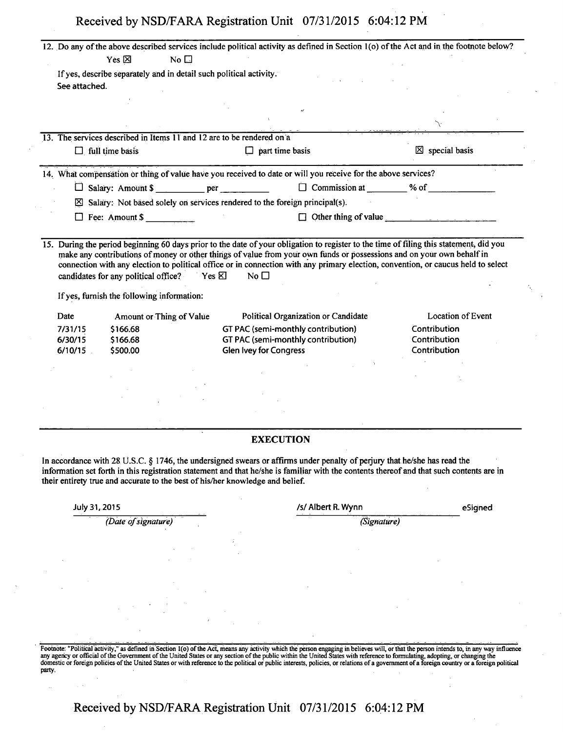| Received by NSD/FARA Registration Unit 07/31/2015 6:04:12 PM |  |
|--------------------------------------------------------------|--|
|--------------------------------------------------------------|--|

|               | Yes $\boxtimes$<br>No $\square$                                                                                          |                               |                                     | 12. Do any of the above described services include political activity as defined in Section 1(o) of the Act and in the footnote below?   |
|---------------|--------------------------------------------------------------------------------------------------------------------------|-------------------------------|-------------------------------------|------------------------------------------------------------------------------------------------------------------------------------------|
|               | If yes, describe separately and in detail such political activity.                                                       |                               |                                     |                                                                                                                                          |
| See attached. |                                                                                                                          |                               |                                     |                                                                                                                                          |
|               |                                                                                                                          |                               |                                     |                                                                                                                                          |
|               |                                                                                                                          |                               |                                     |                                                                                                                                          |
|               | 13. The services described in Items 11 and 12 are to be rendered on a                                                    |                               |                                     |                                                                                                                                          |
|               | $\Box$ full time basis                                                                                                   | $\Box$ part time basis        |                                     | $\boxtimes$ special basis                                                                                                                |
|               | 14. What compensation or thing of value have you received to date or will you receive for the above services?            |                               |                                     |                                                                                                                                          |
|               |                                                                                                                          |                               |                                     | $\Box$ Commission at $\qquad$ % of $\qquad$                                                                                              |
|               | $\boxtimes$ Salary: Not based solely on services rendered to the foreign principal(s).                                   |                               |                                     |                                                                                                                                          |
|               | $\Box$ Fee: Amount \$                                                                                                    |                               |                                     | $\Box$ Other thing of value $\Box$                                                                                                       |
|               |                                                                                                                          |                               |                                     |                                                                                                                                          |
|               | candidates for any political office?<br>YesR<br>If yes, furnish the following information:                               | No $\Box$                     |                                     | connection with any election to political office or in connection with any primary election, convention, or caucus held to select        |
| Date          | Amount or Thing of Value                                                                                                 |                               | Political Organization or Candidate | <b>Location of Event</b>                                                                                                                 |
| 7/31/15       | \$166.68                                                                                                                 |                               | GT PAC (semi-monthly contribution)  | Contribution                                                                                                                             |
| 6/30/15       | \$166.68                                                                                                                 |                               | GT PAC (semi-monthly contribution)  | Contribution<br>Contribution                                                                                                             |
| 6/10/15       | \$500.00                                                                                                                 | <b>Glen Ivey for Congress</b> |                                     |                                                                                                                                          |
|               |                                                                                                                          |                               |                                     |                                                                                                                                          |
|               |                                                                                                                          |                               |                                     |                                                                                                                                          |
|               |                                                                                                                          |                               |                                     |                                                                                                                                          |
|               |                                                                                                                          |                               |                                     |                                                                                                                                          |
|               |                                                                                                                          |                               |                                     |                                                                                                                                          |
|               |                                                                                                                          | <b>EXECUTION</b>              |                                     |                                                                                                                                          |
|               | In accordance with 28 U.S.C. § 1746, the undersigned swears or affirms under penalty of perjury that he/she has read the |                               |                                     | information set forth in this registration statement and that he/she is familiar with the contents thereof and that such contents are in |
| July 31, 2015 | their entirety true and accurate to the best of his/her knowledge and belief.                                            |                               | /s/ Albert R. Wynn                  | eSigned                                                                                                                                  |
|               | (Date of signature)                                                                                                      |                               | (Signature)                         |                                                                                                                                          |
|               |                                                                                                                          |                               |                                     |                                                                                                                                          |
|               |                                                                                                                          |                               |                                     |                                                                                                                                          |
|               |                                                                                                                          |                               |                                     |                                                                                                                                          |
|               |                                                                                                                          |                               |                                     |                                                                                                                                          |
|               |                                                                                                                          |                               |                                     |                                                                                                                                          |
|               |                                                                                                                          |                               |                                     |                                                                                                                                          |
|               |                                                                                                                          |                               |                                     |                                                                                                                                          |
|               |                                                                                                                          |                               |                                     |                                                                                                                                          |

**Received by NSD/FARA Registration Unit 07/31/2015 6:04:12 PM**